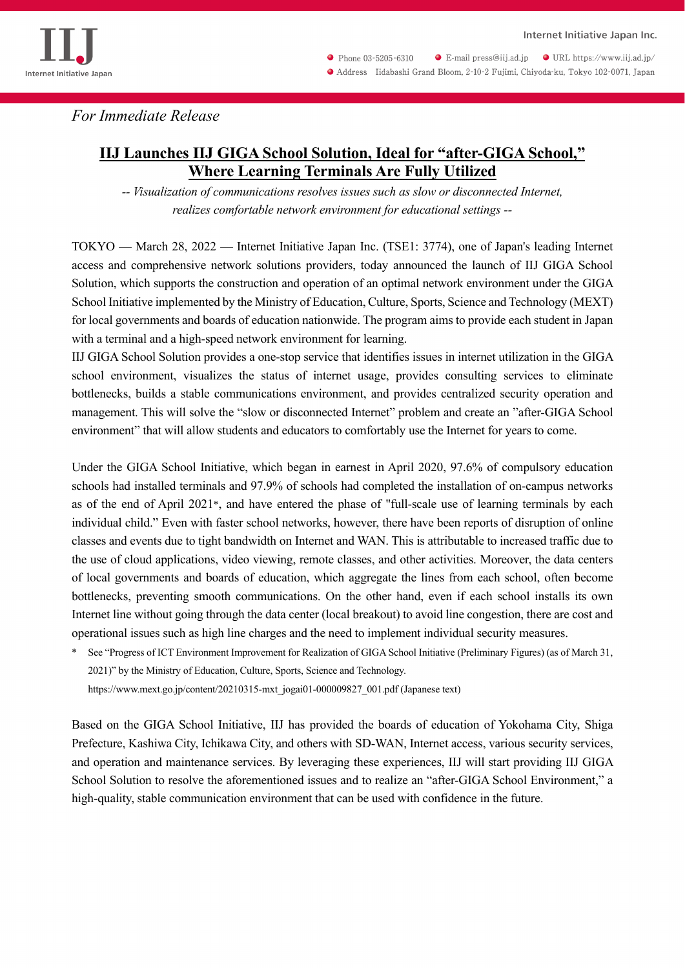

Phone 03-5205-6310  $\bullet$  E-mail press@iij.ad.jp  $\bullet$  URL https://www.iij.ad.jp/ Address Iidabashi Grand Bloom, 2-10-2 Fujimi, Chiyoda-ku, Tokyo 102-0071, Japan

*For Immediate Release*

## **IIJ Launches IIJ GIGA School Solution, Ideal for "after-GIGA School," Where Learning Terminals Are Fully Utilized**

*-- Visualization of communications resolves issues such as slow or disconnected Internet, realizes comfortable network environment for educational settings --* 

TOKYO — March 28, 2022 — Internet Initiative Japan Inc. (TSE1: 3774), one of Japan's leading Internet access and comprehensive network solutions providers, today announced the launch of IIJ GIGA School Solution, which supports the construction and operation of an optimal network environment under the GIGA School Initiative implemented by the Ministry of Education, Culture, Sports, Science and Technology (MEXT) for local governments and boards of education nationwide. The program aims to provide each student in Japan with a terminal and a high-speed network environment for learning.

IIJ GIGA School Solution provides a one-stop service that identifies issues in internet utilization in the GIGA school environment, visualizes the status of internet usage, provides consulting services to eliminate bottlenecks, builds a stable communications environment, and provides centralized security operation and management. This will solve the "slow or disconnected Internet" problem and create an "after-GIGA School environment" that will allow students and educators to comfortably use the Internet for years to come.

Under the GIGA School Initiative, which began in earnest in April 2020, 97.6% of compulsory education schools had installed terminals and 97.9% of schools had completed the installation of on-campus networks as of the end of April 2021\*, and have entered the phase of "full-scale use of learning terminals by each individual child." Even with faster school networks, however, there have been reports of disruption of online classes and events due to tight bandwidth on Internet and WAN. This is attributable to increased traffic due to the use of cloud applications, video viewing, remote classes, and other activities. Moreover, the data centers of local governments and boards of education, which aggregate the lines from each school, often become bottlenecks, preventing smooth communications. On the other hand, even if each school installs its own Internet line without going through the data center (local breakout) to avoid line congestion, there are cost and operational issues such as high line charges and the need to implement individual security measures.

See "Progress of ICT Environment Improvement for Realization of GIGA School Initiative (Preliminary Figures) (as of March 31, 2021)" by the Ministry of Education, Culture, Sports, Science and Technology.

https://www.mext.go.jp/content/20210315-mxt\_jogai01-000009827\_001.pdf (Japanese text)

Based on the GIGA School Initiative, IIJ has provided the boards of education of Yokohama City, Shiga Prefecture, Kashiwa City, Ichikawa City, and others with SD-WAN, Internet access, various security services, and operation and maintenance services. By leveraging these experiences, IIJ will start providing IIJ GIGA School Solution to resolve the aforementioned issues and to realize an "after-GIGA School Environment," a high-quality, stable communication environment that can be used with confidence in the future.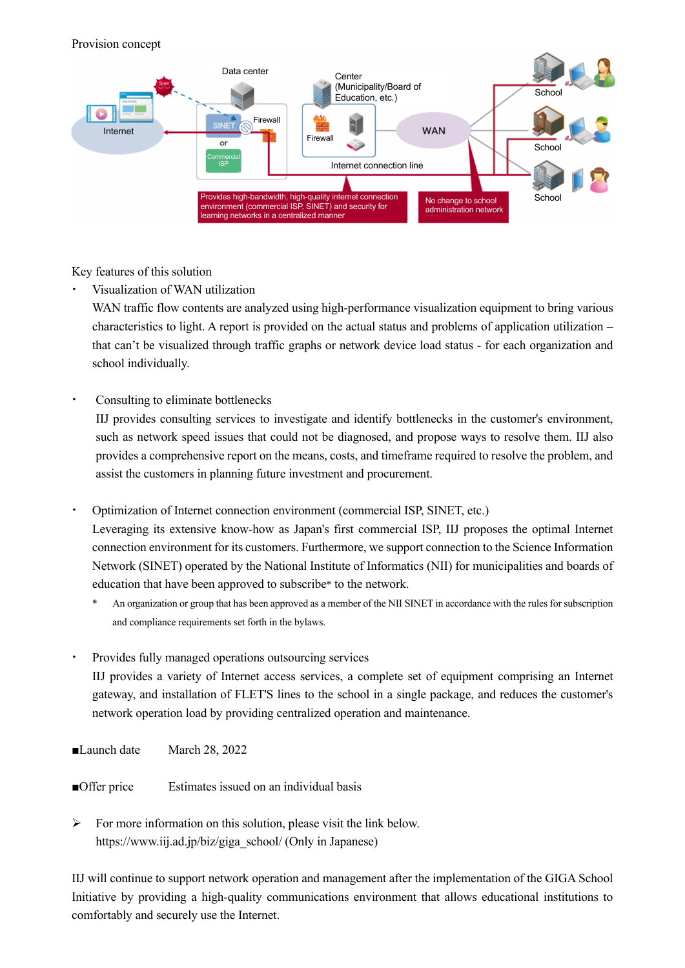## Provision concept



Key features of this solution

Visualization of WAN utilization

WAN traffic flow contents are analyzed using high-performance visualization equipment to bring various characteristics to light. A report is provided on the actual status and problems of application utilization – that can't be visualized through traffic graphs or network device load status - for each organization and school individually.

Consulting to eliminate bottlenecks

IIJ provides consulting services to investigate and identify bottlenecks in the customer's environment, such as network speed issues that could not be diagnosed, and propose ways to resolve them. IIJ also provides a comprehensive report on the means, costs, and timeframe required to resolve the problem, and assist the customers in planning future investment and procurement.

· Optimization of Internet connection environment (commercial ISP, SINET, etc.)

Leveraging its extensive know-how as Japan's first commercial ISP, IIJ proposes the optimal Internet connection environment for its customers. Furthermore, we support connection to the Science Information Network (SINET) operated by the National Institute of Informatics (NII) for municipalities and boards of education that have been approved to subscribe\* to the network.

- An organization or group that has been approved as a member of the NII SINET in accordance with the rules for subscription and compliance requirements set forth in the bylaws.
- Provides fully managed operations outsourcing services IIJ provides a variety of Internet access services, a complete set of equipment comprising an Internet gateway, and installation of FLET'S lines to the school in a single package, and reduces the customer's network operation load by providing centralized operation and maintenance.
- ■Launch date March 28, 2022
- ■Offer price Estimates issued on an individual basis

 $\triangleright$  For more information on this solution, please visit the link below. https://www.iij.ad.jp/biz/giga\_school/ (Only in Japanese)

IIJ will continue to support network operation and management after the implementation of the GIGA School Initiative by providing a high-quality communications environment that allows educational institutions to comfortably and securely use the Internet.